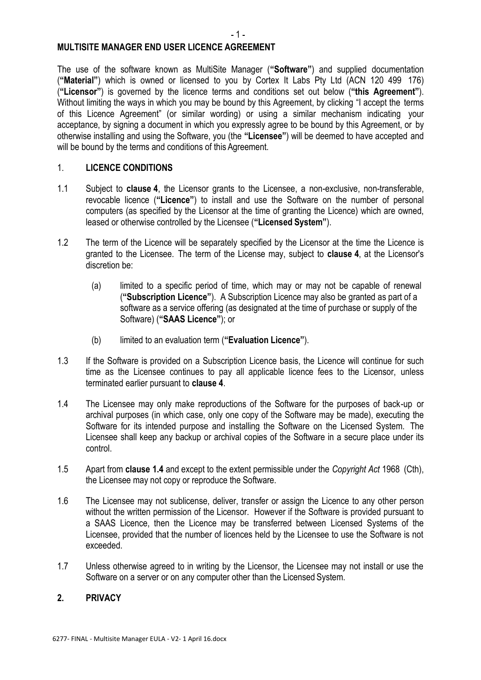#### **MULTISITE MANAGER END USER LICENCE AGREEMENT**

The use of the software known as MultiSite Manager (**"Software"**) and supplied documentation (**"Material"**) which is owned or licensed to you by Cortex It Labs Pty Ltd (ACN 120 499 176) (**"Licensor"**) is governed by the licence terms and conditions set out below (**"this Agreement"**). Without limiting the ways in which you may be bound by this Agreement, by clicking "I accept the terms of this Licence Agreement" (or similar wording) or using a similar mechanism indicating your acceptance, by signing a document in which you expressly agree to be bound by this Agreement, or by otherwise installing and using the Software, you (the **"Licensee"**) will be deemed to have accepted and will be bound by the terms and conditions of this Agreement.

### 1. **LICENCE CONDITIONS**

- 1.1 Subject to **clause [4](#page-1-0)**, the Licensor grants to the Licensee, a non-exclusive, non-transferable, revocable licence (**"Licence"**) to install and use the Software on the number of personal computers (as specified by the Licensor at the time of granting the Licence) which are owned, leased or otherwise controlled by the Licensee (**"Licensed System"**).
- 1.2 The term of the Licence will be separately specified by the Licensor at the time the Licence is granted to the Licensee. The term of the License may, subject to **clause [4](#page-1-0)**, at the Licensor's discretion be:
	- (a) limited to a specific period of time, which may or may not be capable of renewal (**"Subscription Licence"**). A Subscription Licence may also be granted as part of a software as a service offering (as designated at the time of purchase or supply of the Software) (**"SAAS Licence"**); or
	- (b) limited to an evaluation term (**"Evaluation Licence"**).
- 1.3 If the Software is provided on a Subscription Licence basis, the Licence will continue for such time as the Licensee continues to pay all applicable licence fees to the Licensor, unless terminated earlier pursuant to **clause [4](#page-1-0)**.
- <span id="page-0-0"></span>1.4 The Licensee may only make reproductions of the Software for the purposes of back-up or archival purposes (in which case, only one copy of the Software may be made), executing the Software for its intended purpose and installing the Software on the Licensed System. The Licensee shall keep any backup or archival copies of the Software in a secure place under its control.
- 1.5 Apart from **c[lause 1.4](#page-0-0)** and except to the extent permissible under the *Copyright Act* 1968 (Cth), the Licensee may not copy or reproduce the Software.
- 1.6 The Licensee may not sublicense, deliver, transfer or assign the Licence to any other person without the written permission of the Licensor. However if the Software is provided pursuant to a SAAS Licence, then the Licence may be transferred between Licensed Systems of the Licensee, provided that the number of licences held by the Licensee to use the Software is not exceeded.
- 1.7 Unless otherwise agreed to in writing by the Licensor, the Licensee may not install or use the Software on a server or on any computer other than the Licensed System.

### **2. PRIVACY**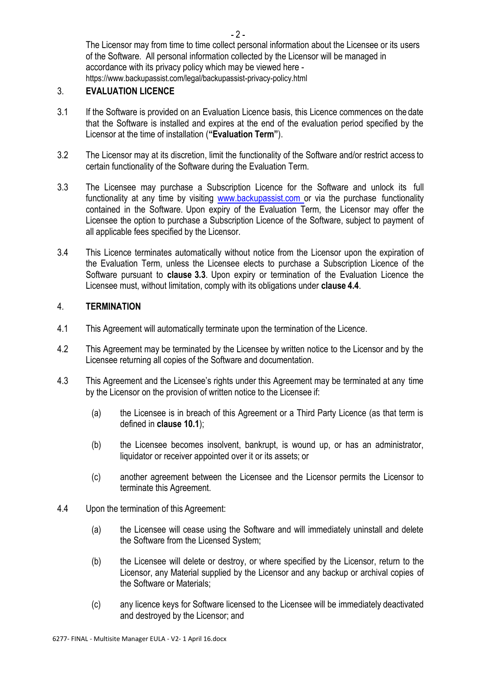The Licensor may from time to time collect personal information about the Licensee or its users of the Software. All personal information collected by the Licensor will be managed in accordance with its privacy policy which may be viewed here <https://www.backupassist.com/legal/backupassist-privacy-policy.html>

### 3. **EVALUATION LICENCE**

- 3.1 If the Software is provided on an Evaluation Licence basis, this Licence commences on the date that the Software is installed and expires at the end of the evaluation period specified by the Licensor at the time of installation (**"Evaluation Term"**).
- 3.2 The Licensor may at its discretion, limit the functionality of the Software and/or restrict access to certain functionality of the Software during the Evaluation Term.
- <span id="page-1-1"></span>3.3 The Licensee may purchase a Subscription Licence for the Software and unlock its full functionality at any time by visiting [www.backupassist.com o](http://www.backupassist.com/)r via the purchase functionality contained in the Software. Upon expiry of the Evaluation Term, the Licensor may offer the Licensee the option to purchase a Subscription Licence of the Software, subject to payment of all applicable fees specified by the Licensor.
- 3.4 This Licence terminates automatically without notice from the Licensor upon the expiration of the Evaluation Term, unless the Licensee elects to purchase a Subscription Licence of the Software pursuant to **clause [3.3](#page-1-1)**. Upon expiry or termination of the Evaluation Licence the Licensee must, without limitation, comply with its obligations under **clause [4.4](#page-1-2)**.

# <span id="page-1-0"></span>4. **TERMINATION**

- 4.1 This Agreement will automatically terminate upon the termination of the Licence.
- 4.2 This Agreement may be terminated by the Licensee by written notice to the Licensor and by the Licensee returning all copies of the Software and documentation.
- 4.3 This Agreement and the Licensee's rights under this Agreement may be terminated at any time by the Licensor on the provision of written notice to the Licensee if:
	- (a) the Licensee is in breach of this Agreement or a Third Party Licence (as that term is defined in **claus[e 10.1](#page-5-0)**);
	- (b) the Licensee becomes insolvent, bankrupt, is wound up, or has an administrator, liquidator or receiver appointed over it or its assets; or
	- (c) another agreement between the Licensee and the Licensor permits the Licensor to terminate this Agreement.
- <span id="page-1-2"></span>4.4 Upon the termination of this Agreement:
	- (a) the Licensee will cease using the Software and will immediately uninstall and delete the Software from the Licensed System;
	- (b) the Licensee will delete or destroy, or where specified by the Licensor, return to the Licensor, any Material supplied by the Licensor and any backup or archival copies of the Software or Materials;
	- (c) any licence keys for Software licensed to the Licensee will be immediately deactivated and destroyed by the Licensor; and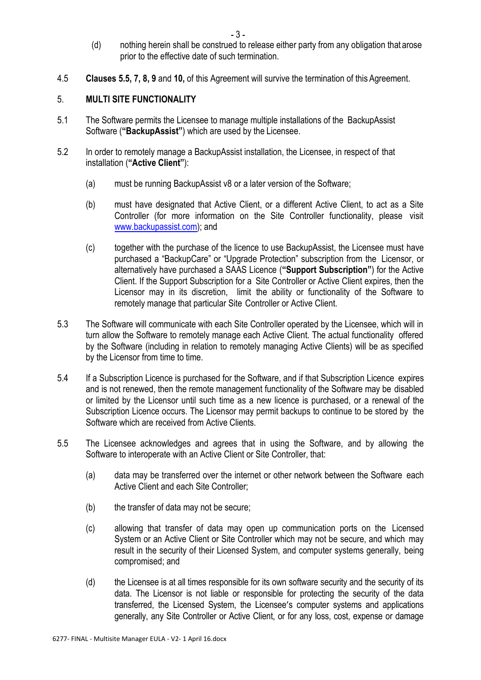- (d) nothing herein shall be construed to release either party from any obligation that arose prior to the effective date of such termination.
- 4.5 **Clauses [5.5, 7, 8, 9](#page-2-0)** and **[10,](#page-2-0)** of this Agreement will survive the termination of this Agreement.

### 5. **MULTI SITE FUNCTIONALITY**

- 5.1 The Software permits the Licensee to manage multiple installations of the BackupAssist Software (**"BackupAssist"**) which are used by the Licensee.
- 5.2 In order to remotely manage a BackupAssist installation, the Licensee, in respect of that installation (**"Active Client"**):
	- (a) must be running BackupAssist v8 or a later version of the Software;
	- (b) must have designated that Active Client, or a different Active Client, to act as a Site Controller (for more information on the Site Controller functionality, please visit [www.backupassist.com\)](http://www.backupassist.com/); and
	- (c) together with the purchase of the licence to use BackupAssist, the Licensee must have purchased a "BackupCare" or "Upgrade Protection" subscription from the Licensor, or alternatively have purchased a SAAS Licence (**"Support Subscription"**) for the Active Client. If the Support Subscription for a Site Controller or Active Client expires, then the Licensor may in its discretion, limit the ability or functionality of the Software to remotely manage that particular Site Controller or Active Client.
- 5.3 The Software will communicate with each Site Controller operated by the Licensee, which will in turn allow the Software to remotely manage each Active Client. The actual functionality offered by the Software (including in relation to remotely managing Active Clients) will be as specified by the Licensor from time to time.
- 5.4 If a Subscription Licence is purchased for the Software, and if that Subscription Licence expires and is not renewed, then the remote management functionality of the Software may be disabled or limited by the Licensor until such time as a new licence is purchased, or a renewal of the Subscription Licence occurs. The Licensor may permit backups to continue to be stored by the Software which are received from Active Clients.
- <span id="page-2-0"></span>5.5 The Licensee acknowledges and agrees that in using the Software, and by allowing the Software to interoperate with an Active Client or Site Controller, that:
	- (a) data may be transferred over the internet or other network between the Software each Active Client and each Site Controller;
	- (b) the transfer of data may not be secure;
	- (c) allowing that transfer of data may open up communication ports on the Licensed System or an Active Client or Site Controller which may not be secure, and which may result in the security of their Licensed System, and computer systems generally, being compromised; and
	- (d) the Licensee is at all times responsible for its own software security and the security of its data. The Licensor is not liable or responsible for protecting the security of the data transferred, the Licensed System, the Licensee's computer systems and applications generally, any Site Controller or Active Client, or for any loss, cost, expense or damage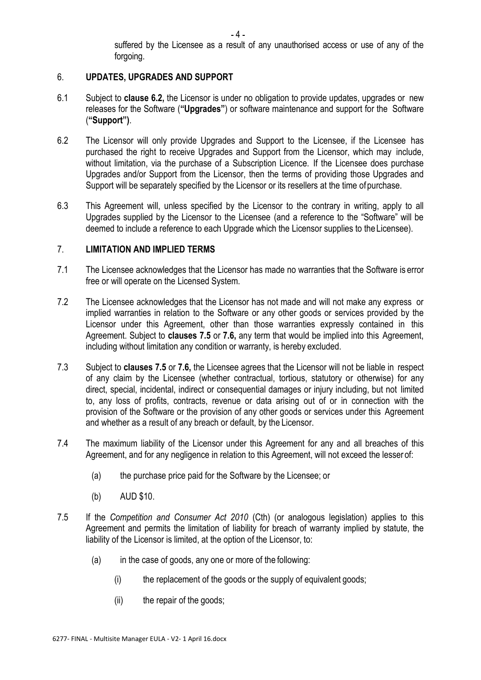suffered by the Licensee as a result of any unauthorised access or use of any of the forgoing.

### 6. **UPDATES, UPGRADES AND SUPPORT**

- 6.1 Subject to **clause [6.2,](#page-3-0)** the Licensor is under no obligation to provide updates, upgrades or new releases for the Software (**"Upgrades"**) or software maintenance and support for the Software (**"Support")**.
- <span id="page-3-0"></span>6.2 The Licensor will only provide Upgrades and Support to the Licensee, if the Licensee has purchased the right to receive Upgrades and Support from the Licensor, which may include, without limitation, via the purchase of a Subscription Licence. If the Licensee does purchase Upgrades and/or Support from the Licensor, then the terms of providing those Upgrades and Support will be separately specified by the Licensor or its resellers at the time of purchase.
- 6.3 This Agreement will, unless specified by the Licensor to the contrary in writing, apply to all Upgrades supplied by the Licensor to the Licensee (and a reference to the "Software" will be deemed to include a reference to each Upgrade which the Licensor supplies to the Licensee).

### 7. **LIMITATION AND IMPLIED TERMS**

- 7.1 The Licensee acknowledges that the Licensor has made no warranties that the Software is error free or will operate on the Licensed System.
- 7.2 The Licensee acknowledges that the Licensor has not made and will not make any express or implied warranties in relation to the Software or any other goods or services provided by the Licensor under this Agreement, other than those warranties expressly contained in this Agreement. Subject to **clauses [7.5](#page-3-1)** or **[7.6,](#page-4-0)** any term that would be implied into this Agreement, including without limitation any condition or warranty, is hereby excluded.
- 7.3 Subject to **clauses [7.5](#page-3-1)** or **[7.6,](#page-4-0)** the Licensee agrees that the Licensor will not be liable in respect of any claim by the Licensee (whether contractual, tortious, statutory or otherwise) for any direct, special, incidental, indirect or consequential damages or injury including, but not limited to, any loss of profits, contracts, revenue or data arising out of or in connection with the provision of the Software or the provision of any other goods or services under this Agreement and whether as a result of any breach or default, by the Licensor.
- 7.4 The maximum liability of the Licensor under this Agreement for any and all breaches of this Agreement, and for any negligence in relation to this Agreement, will not exceed the lesser of:
	- (a) the purchase price paid for the Software by the Licensee; or
	- (b) AUD \$10.
- <span id="page-3-1"></span>7.5 If the *Competition and Consumer Act 2010* (Cth) (or analogous legislation) applies to this Agreement and permits the limitation of liability for breach of warranty implied by statute, the liability of the Licensor is limited, at the option of the Licensor, to:
	- (a) in the case of goods, any one or more of the following:
		- (i) the replacement of the goods or the supply of equivalent goods;
		- (ii) the repair of the goods;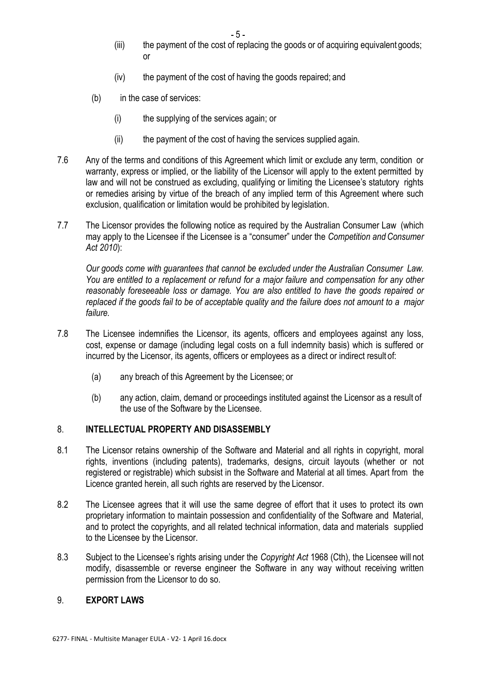$-5 -$ 

- (iii) the payment of the cost of replacing the goods or of acquiring equivalent goods; or
- (iv) the payment of the cost of having the goods repaired; and
- (b) in the case of services:
	- (i) the supplying of the services again; or
	- (ii) the payment of the cost of having the services supplied again.
- <span id="page-4-0"></span>7.6 Any of the terms and conditions of this Agreement which limit or exclude any term, condition or warranty, express or implied, or the liability of the Licensor will apply to the extent permitted by law and will not be construed as excluding, qualifying or limiting the Licensee's statutory rights or remedies arising by virtue of the breach of any implied term of this Agreement where such exclusion, qualification or limitation would be prohibited by legislation.
- 7.7 The Licensor provides the following notice as required by the Australian Consumer Law (which may apply to the Licensee if the Licensee is a "consumer" under the *Competition and Consumer Act 2010*):

*Our goods come with guarantees that cannot be excluded under the Australian Consumer Law. You are entitled to a replacement or refund for a major failure and compensation for any other reasonably foreseeable loss or damage. You are also entitled to have the goods repaired or replaced if the goods fail to be of acceptable quality and the failure does not amount to a major failure.*

- 7.8 The Licensee indemnifies the Licensor, its agents, officers and employees against any loss, cost, expense or damage (including legal costs on a full indemnity basis) which is suffered or incurred by the Licensor, its agents, officers or employees as a direct or indirect result of:
	- (a) any breach of this Agreement by the Licensee; or
	- (b) any action, claim, demand or proceedings instituted against the Licensor as a result of the use of the Software by the Licensee.

# 8. **INTELLECTUAL PROPERTY AND DISASSEMBLY**

- 8.1 The Licensor retains ownership of the Software and Material and all rights in copyright, moral rights, inventions (including patents), trademarks, designs, circuit layouts (whether or not registered or registrable) which subsist in the Software and Material at all times. Apart from the Licence granted herein, all such rights are reserved by the Licensor.
- 8.2 The Licensee agrees that it will use the same degree of effort that it uses to protect its own proprietary information to maintain possession and confidentiality of the Software and Material, and to protect the copyrights, and all related technical information, data and materials supplied to the Licensee by the Licensor.
- 8.3 Subject to the Licensee's rights arising under the *Copyright Act* 1968 (Cth), the Licensee will not modify, disassemble or reverse engineer the Software in any way without receiving written permission from the Licensor to do so.

# 9. **EXPORT LAWS**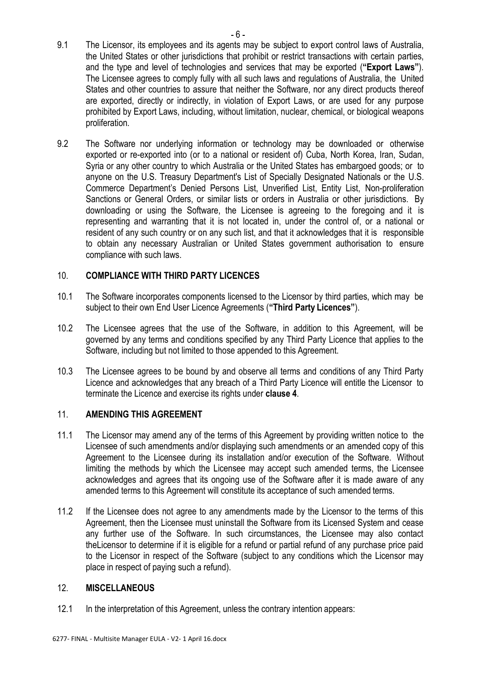- 9.1 The Licensor, its employees and its agents may be subject to export control laws of Australia, the United States or other jurisdictions that prohibit or restrict transactions with certain parties, and the type and level of technologies and services that may be exported (**"Export Laws"**). The Licensee agrees to comply fully with all such laws and regulations of Australia, the United States and other countries to assure that neither the Software, nor any direct products thereof are exported, directly or indirectly, in violation of Export Laws, or are used for any purpose prohibited by Export Laws, including, without limitation, nuclear, chemical, or biological weapons proliferation.
- 9.2 The Software nor underlying information or technology may be downloaded or otherwise exported or re-exported into (or to a national or resident of) Cuba, North Korea, Iran, Sudan, Syria or any other country to which Australia or the United States has embargoed goods; or to anyone on the U.S. Treasury Department's List of Specially Designated Nationals or the U.S. Commerce Department's Denied Persons List, Unverified List, Entity List, Non-proliferation Sanctions or General Orders, or similar lists or orders in Australia or other jurisdictions. By downloading or using the Software, the Licensee is agreeing to the foregoing and it is representing and warranting that it is not located in, under the control of, or a national or resident of any such country or on any such list, and that it acknowledges that it is responsible to obtain any necessary Australian or United States government authorisation to ensure compliance with such laws.

# 10. **COMPLIANCE WITH THIRD PARTY LICENCES**

- <span id="page-5-0"></span>10.1 The Software incorporates components licensed to the Licensor by third parties, which may be subject to their own End User Licence Agreements (**"Third Party Licences"**).
- 10.2 The Licensee agrees that the use of the Software, in addition to this Agreement, will be governed by any terms and conditions specified by any Third Party Licence that applies to the Software, including but not limited to those appended to this Agreement.
- 10.3 The Licensee agrees to be bound by and observe all terms and conditions of any Third Party Licence and acknowledges that any breach of a Third Party Licence will entitle the Licensor to terminate the Licence and exercise its rights under **clause [4](#page-1-0)**.

### 11. **AMENDING THIS AGREEMENT**

- 11.1 The Licensor may amend any of the terms of this Agreement by providing written notice to the Licensee of such amendments and/or displaying such amendments or an amended copy of this Agreement to the Licensee during its installation and/or execution of the Software. Without limiting the methods by which the Licensee may accept such amended terms, the Licensee acknowledges and agrees that its ongoing use of the Software after it is made aware of any amended terms to this Agreement will constitute its acceptance of such amended terms.
- 11.2 If the Licensee does not agree to any amendments made by the Licensor to the terms of this Agreement, then the Licensee must uninstall the Software from its Licensed System and cease any further use of the Software. In such circumstances, the Licensee may also contact theLicensor to determine if it is eligible for a refund or partial refund of any purchase price paid to the Licensor in respect of the Software (subject to any conditions which the Licensor may place in respect of paying such a refund).

# 12. **MISCELLANEOUS**

12.1 In the interpretation of this Agreement, unless the contrary intention appears: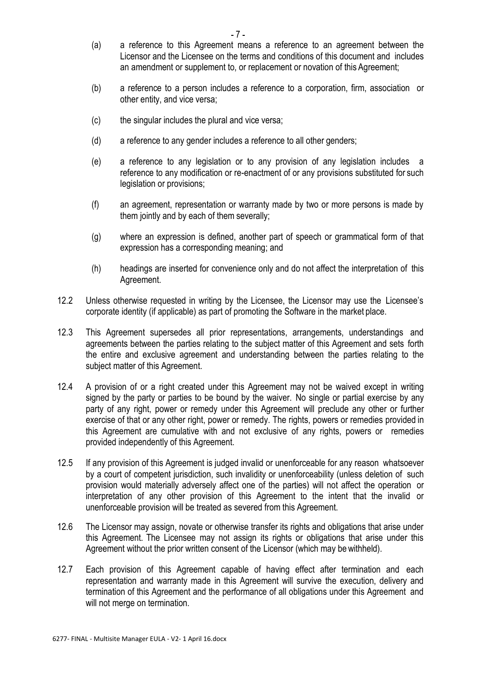- (a) a reference to this Agreement means a reference to an agreement between the Licensor and the Licensee on the terms and conditions of this document and includes an amendment or supplement to, or replacement or novation of this Agreement;
- (b) a reference to a person includes a reference to a corporation, firm, association or other entity, and vice versa;
- (c) the singular includes the plural and vice versa;
- (d) a reference to any gender includes a reference to all other genders;
- (e) a reference to any legislation or to any provision of any legislation includes a reference to any modification or re-enactment of or any provisions substituted for such legislation or provisions;
- (f) an agreement, representation or warranty made by two or more persons is made by them jointly and by each of them severally;
- (g) where an expression is defined, another part of speech or grammatical form of that expression has a corresponding meaning; and
- (h) headings are inserted for convenience only and do not affect the interpretation of this Agreement.
- 12.2 Unless otherwise requested in writing by the Licensee, the Licensor may use the Licensee's corporate identity (if applicable) as part of promoting the Software in the market place.
- 12.3 This Agreement supersedes all prior representations, arrangements, understandings and agreements between the parties relating to the subject matter of this Agreement and sets forth the entire and exclusive agreement and understanding between the parties relating to the subject matter of this Agreement.
- 12.4 A provision of or a right created under this Agreement may not be waived except in writing signed by the party or parties to be bound by the waiver. No single or partial exercise by any party of any right, power or remedy under this Agreement will preclude any other or further exercise of that or any other right, power or remedy. The rights, powers or remedies provided in this Agreement are cumulative with and not exclusive of any rights, powers or remedies provided independently of this Agreement.
- 12.5 If any provision of this Agreement is judged invalid or unenforceable for any reason whatsoever by a court of competent jurisdiction, such invalidity or unenforceability (unless deletion of such provision would materially adversely affect one of the parties) will not affect the operation or interpretation of any other provision of this Agreement to the intent that the invalid or unenforceable provision will be treated as severed from this Agreement.
- 12.6 The Licensor may assign, novate or otherwise transfer its rights and obligations that arise under this Agreement. The Licensee may not assign its rights or obligations that arise under this Agreement without the prior written consent of the Licensor (which may be withheld).
- 12.7 Each provision of this Agreement capable of having effect after termination and each representation and warranty made in this Agreement will survive the execution, delivery and termination of this Agreement and the performance of all obligations under this Agreement and will not merge on termination.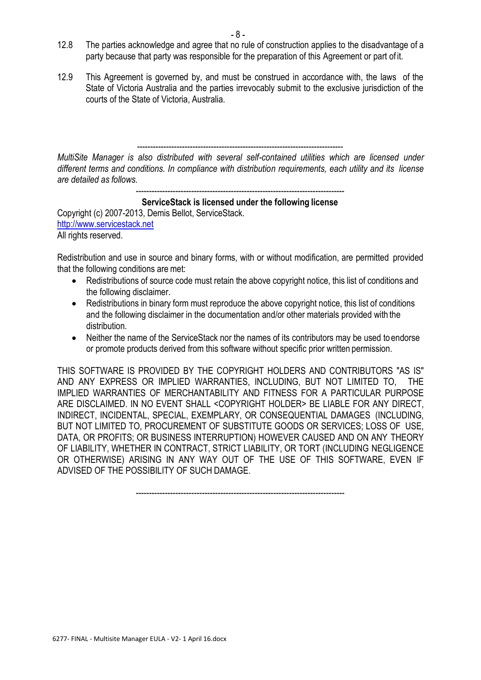- 12.8 The parties acknowledge and agree that no rule of construction applies to the disadvantage of a party because that party was responsible for the preparation of this Agreement or part of it.
- 12.9 This Agreement is governed by, and must be construed in accordance with, the laws of the State of Victoria Australia and the parties irrevocably submit to the exclusive jurisdiction of the courts of the State of Victoria, Australia.

------------------------------------------------------------------------------ *MultiSite Manager is also distributed with several self-contained utilities which are licensed under different terms and conditions. In compliance with distribution requirements, each utility and its license are detailed as follows.*

-------------------------------------------------------------------------------

# **ServiceStack is licensed under the following license**

Copyright (c) 2007-2013, Demis Bellot, ServiceStack. [http://www.servicestack.net](http://www.servicestack.net/) All rights reserved.

Redistribution and use in source and binary forms, with or without modification, are permitted provided that the following conditions are met:

- Redistributions of source code must retain the above copyright notice, this list of conditions and the following disclaimer.
- Redistributions in binary form must reproduce the above copyright notice, this list of conditions and the following disclaimer in the documentation and/or other materials provided with the distribution.
- Neither the name of the ServiceStack nor the names of its contributors may be used to endorse or promote products derived from this software without specific prior written permission.

THIS SOFTWARE IS PROVIDED BY THE COPYRIGHT HOLDERS AND CONTRIBUTORS "AS IS" AND ANY EXPRESS OR IMPLIED WARRANTIES, INCLUDING, BUT NOT LIMITED TO, THE IMPLIED WARRANTIES OF MERCHANTABILITY AND FITNESS FOR A PARTICULAR PURPOSE ARE DISCLAIMED. IN NO EVENT SHALL <COPYRIGHT HOLDER> BE LIABLE FOR ANY DIRECT, INDIRECT, INCIDENTAL, SPECIAL, EXEMPLARY, OR CONSEQUENTIAL DAMAGES (INCLUDING, BUT NOT LIMITED TO, PROCUREMENT OF SUBSTITUTE GOODS OR SERVICES; LOSS OF USE, DATA, OR PROFITS; OR BUSINESS INTERRUPTION) HOWEVER CAUSED AND ON ANY THEORY OF LIABILITY, WHETHER IN CONTRACT, STRICT LIABILITY, OR TORT (INCLUDING NEGLIGENCE OR OTHERWISE) ARISING IN ANY WAY OUT OF THE USE OF THIS SOFTWARE, EVEN IF ADVISED OF THE POSSIBILITY OF SUCH DAMAGE.

-------------------------------------------------------------------------------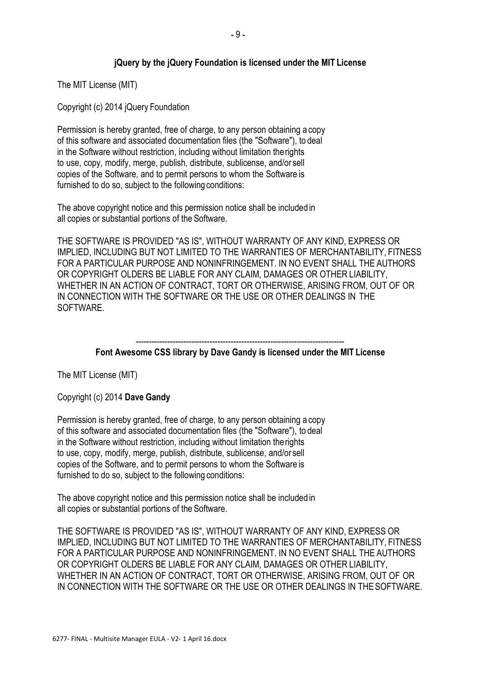## **jQuery by the jQuery Foundation is licensed under the MIT License**

The MIT License (MIT)

Copyright (c) 2014 jQuery Foundation

Permission is hereby granted, free of charge, to any person obtaining a copy of this software and associated documentation files (the "Software"), to deal in the Software without restriction, including without limitation therights to use, copy, modify, merge, publish, distribute, sublicense, and/or sell copies of the Software, and to permit persons to whom the Software is furnished to do so, subject to the following conditions:

The above copyright notice and this permission notice shall be included in all copies or substantial portions of the Software.

THE SOFTWARE IS PROVIDED "AS IS", WITHOUT WARRANTY OF ANY KIND, EXPRESS OR IMPLIED, INCLUDING BUT NOT LIMITED TO THE WARRANTIES OF MERCHANTABILITY, FITNESS FOR A PARTICULAR PURPOSE AND NONINFRINGEMENT. IN NO EVENT SHALL THE AUTHORS OR COPYRIGHT OLDERS BE LIABLE FOR ANY CLAIM, DAMAGES OR OTHER LIABILITY, WHETHER IN AN ACTION OF CONTRACT, TORT OR OTHERWISE, ARISING FROM, OUT OF OR IN CONNECTION WITH THE SOFTWARE OR THE USE OR OTHER DEALINGS IN THE SOFTWARE.

> ------------------------------------------------------------------------------- **Font Awesome CSS library by Dave Gandy is licensed under the MIT License**

The MIT License (MIT)

Copyright (c) 2014 **Dave Gandy**

Permission is hereby granted, free of charge, to any person obtaining a copy of this software and associated documentation files (the "Software"), to deal in the Software without restriction, including without limitation therights to use, copy, modify, merge, publish, distribute, sublicense, and/or sell copies of the Software, and to permit persons to whom the Software is furnished to do so, subject to the following conditions:

The above copyright notice and this permission notice shall be included in all copies or substantial portions of the Software.

THE SOFTWARE IS PROVIDED "AS IS", WITHOUT WARRANTY OF ANY KIND, EXPRESS OR IMPLIED, INCLUDING BUT NOT LIMITED TO THE WARRANTIES OF MERCHANTABILITY, FITNESS FOR A PARTICULAR PURPOSE AND NONINFRINGEMENT. IN NO EVENT SHALL THE AUTHORS OR COPYRIGHT OLDERS BE LIABLE FOR ANY CLAIM, DAMAGES OR OTHER LIABILITY, WHETHER IN AN ACTION OF CONTRACT, TORT OR OTHERWISE, ARISING FROM, OUT OF OR IN CONNECTION WITH THE SOFTWARE OR THE USE OR OTHER DEALINGS IN THESOFTWARE.